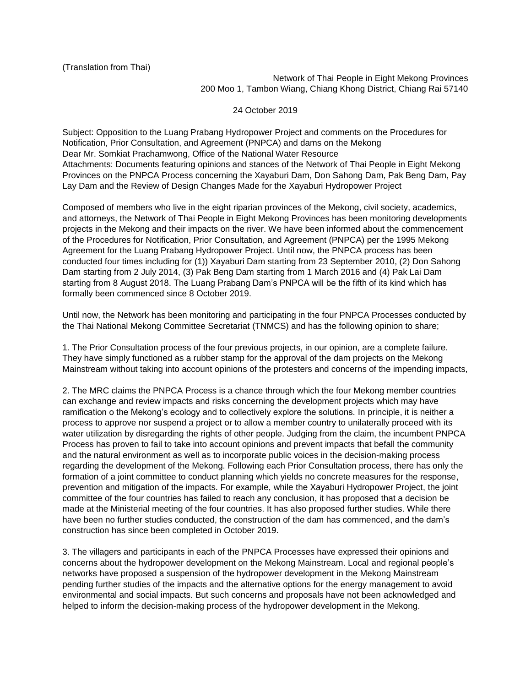Network of Thai People in Eight Mekong Provinces 200 Moo 1, Tambon Wiang, Chiang Khong District, Chiang Rai 57140

24 October 2019

Subject: Opposition to the Luang Prabang Hydropower Project and comments on the Procedures for Notification, Prior Consultation, and Agreement (PNPCA) and dams on the Mekong Dear Mr. Somkiat Prachamwong, Office of the National Water Resource Attachments: Documents featuring opinions and stances of the Network of Thai People in Eight Mekong Provinces on the PNPCA Process concerning the Xayaburi Dam, Don Sahong Dam, Pak Beng Dam, Pay Lay Dam and the Review of Design Changes Made for the Xayaburi Hydropower Project

Composed of members who live in the eight riparian provinces of the Mekong, civil society, academics, and attorneys, the Network of Thai People in Eight Mekong Provinces has been monitoring developments projects in the Mekong and their impacts on the river. We have been informed about the commencement of the Procedures for Notification, Prior Consultation, and Agreement (PNPCA) per the 1995 Mekong Agreement for the Luang Prabang Hydropower Project. Until now, the PNPCA process has been conducted four times including for (1)) Xayaburi Dam starting from 23 September 2010, (2) Don Sahong Dam starting from 2 July 2014, (3) Pak Beng Dam starting from 1 March 2016 and (4) Pak Lai Dam starting from 8 August 2018. The Luang Prabang Dam's PNPCA will be the fifth of its kind which has formally been commenced since 8 October 2019.

Until now, the Network has been monitoring and participating in the four PNPCA Processes conducted by the Thai National Mekong Committee Secretariat (TNMCS) and has the following opinion to share;

1. The Prior Consultation process of the four previous projects, in our opinion, are a complete failure. They have simply functioned as a rubber stamp for the approval of the dam projects on the Mekong Mainstream without taking into account opinions of the protesters and concerns of the impending impacts,

2. The MRC claims the PNPCA Process is a chance through which the four Mekong member countries can exchange and review impacts and risks concerning the development projects which may have ramification o the Mekong's ecology and to collectively explore the solutions. In principle, it is neither a process to approve nor suspend a project or to allow a member country to unilaterally proceed with its water utilization by disregarding the rights of other people. Judging from the claim, the incumbent PNPCA Process has proven to fail to take into account opinions and prevent impacts that befall the community and the natural environment as well as to incorporate public voices in the decision-making process regarding the development of the Mekong. Following each Prior Consultation process, there has only the formation of a joint committee to conduct planning which yields no concrete measures for the response, prevention and mitigation of the impacts. For example, while the Xayaburi Hydropower Project, the joint committee of the four countries has failed to reach any conclusion, it has proposed that a decision be made at the Ministerial meeting of the four countries. It has also proposed further studies. While there have been no further studies conducted, the construction of the dam has commenced, and the dam's construction has since been completed in October 2019.

3. The villagers and participants in each of the PNPCA Processes have expressed their opinions and concerns about the hydropower development on the Mekong Mainstream. Local and regional people's networks have proposed a suspension of the hydropower development in the Mekong Mainstream pending further studies of the impacts and the alternative options for the energy management to avoid environmental and social impacts. But such concerns and proposals have not been acknowledged and helped to inform the decision-making process of the hydropower development in the Mekong.